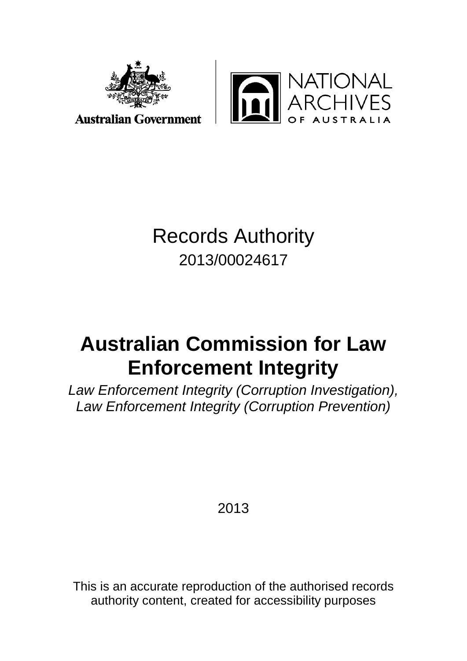



**Australian Government** 

## Records Authority 2013/00024617

# **Australian Commission for Law Enforcement Integrity**

*Law Enforcement Integrity (Corruption Investigation), Law Enforcement Integrity (Corruption Prevention)*

2013

This is an accurate reproduction of the authorised records authority content, created for accessibility purposes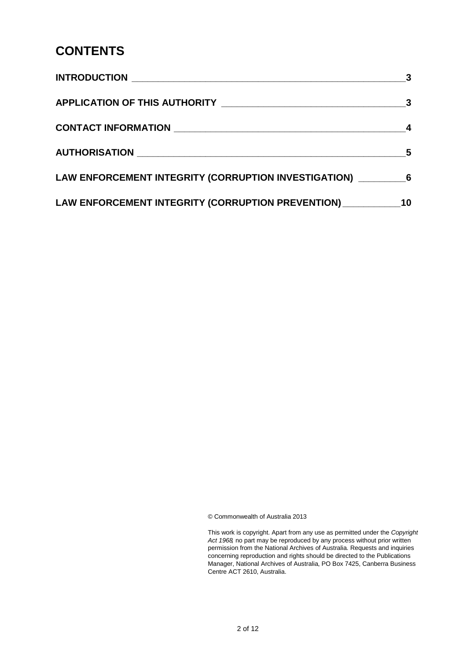#### **CONTENTS**

|                                                                    | 3 |  |
|--------------------------------------------------------------------|---|--|
|                                                                    |   |  |
|                                                                    |   |  |
|                                                                    | 5 |  |
| LAW ENFORCEMENT INTEGRITY (CORRUPTION INVESTIGATION) ____________6 |   |  |
| LAW ENFORCEMENT INTEGRITY (CORRUPTION PREVENTION) 10               |   |  |

© Commonwealth of Australia 2013

This work is copyright. Apart from any use as permitted under the *Copyright Act 1968,* no part may be reproduced by any process without prior written permission from the National Archives of Australia. Requests and inquiries concerning reproduction and rights should be directed to the Publications Manager, National Archives of Australia, PO Box 7425, Canberra Business Centre ACT 2610, Australia.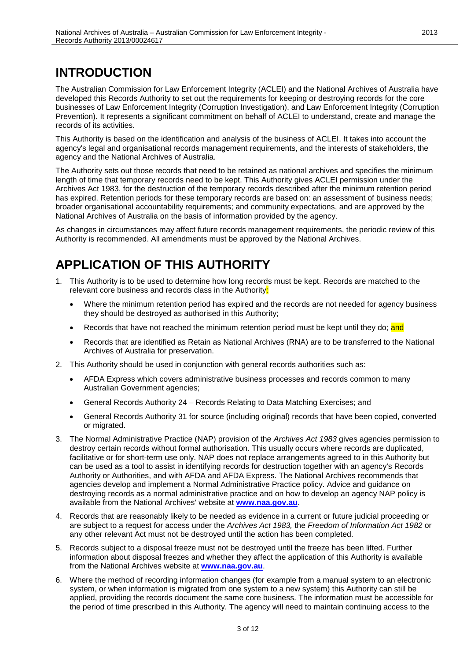#### <span id="page-2-0"></span>**INTRODUCTION**

The Australian Commission for Law Enforcement Integrity (ACLEI) and the National Archives of Australia have developed this Records Authority to set out the requirements for keeping or destroying records for the core businesses of Law Enforcement Integrity (Corruption Investigation), and Law Enforcement Integrity (Corruption Prevention). It represents a significant commitment on behalf of ACLEI to understand, create and manage the records of its activities.

This Authority is based on the identification and analysis of the business of ACLEI. It takes into account the agency's legal and organisational records management requirements, and the interests of stakeholders, the agency and the National Archives of Australia.

The Authority sets out those records that need to be retained as national archives and specifies the minimum length of time that temporary records need to be kept. This Authority gives ACLEI permission under the Archives Act 1983, for the destruction of the temporary records described after the minimum retention period has expired. Retention periods for these temporary records are based on: an assessment of business needs; broader organisational accountability requirements; and community expectations, and are approved by the National Archives of Australia on the basis of information provided by the agency.

As changes in circumstances may affect future records management requirements, the periodic review of this Authority is recommended. All amendments must be approved by the National Archives.

#### <span id="page-2-1"></span>**APPLICATION OF THIS AUTHORITY**

- 1. This Authority is to be used to determine how long records must be kept. Records are matched to the relevant core business and records class in the Authority:
	- Where the minimum retention period has expired and the records are not needed for agency business they should be destroyed as authorised in this Authority;
	- Records that have not reached the minimum retention period must be kept until they do; and
	- Records that are identified as Retain as National Archives (RNA) are to be transferred to the National Archives of Australia for preservation.
- 2. This Authority should be used in conjunction with general records authorities such as:
	- AFDA Express which covers administrative business processes and records common to many Australian Government agencies;
	- General Records Authority 24 Records Relating to Data Matching Exercises; and
	- General Records Authority 31 for source (including original) records that have been copied, converted or migrated.
- 3. The Normal Administrative Practice (NAP) provision of the *Archives Act 1983* gives agencies permission to destroy certain records without formal authorisation. This usually occurs where records are duplicated, facilitative or for short-term use only. NAP does not replace arrangements agreed to in this Authority but can be used as a tool to assist in identifying records for destruction together with an agency's Records Authority or Authorities, and with AFDA and AFDA Express. The National Archives recommends that agencies develop and implement a Normal Administrative Practice policy. Advice and guidance on destroying records as a normal administrative practice and on how to develop an agency NAP policy is available from the National Archives' website at **[www.naa.gov.au](http://www.naa.gov.au/)**.
- 4. Records that are reasonably likely to be needed as evidence in a current or future judicial proceeding or are subject to a request for access under the *Archives Act 1983,* the *Freedom of Information Act 1982* or any other relevant Act must not be destroyed until the action has been completed.
- 5. Records subject to a disposal freeze must not be destroyed until the freeze has been lifted. Further information about disposal freezes and whether they affect the application of this Authority is available from the National Archives website at **[www.naa.gov.au](http://www.naa.gov.au/)**.
- 6. Where the method of recording information changes (for example from a manual system to an electronic system, or when information is migrated from one system to a new system) this Authority can still be applied, providing the records document the same core business. The information must be accessible for the period of time prescribed in this Authority. The agency will need to maintain continuing access to the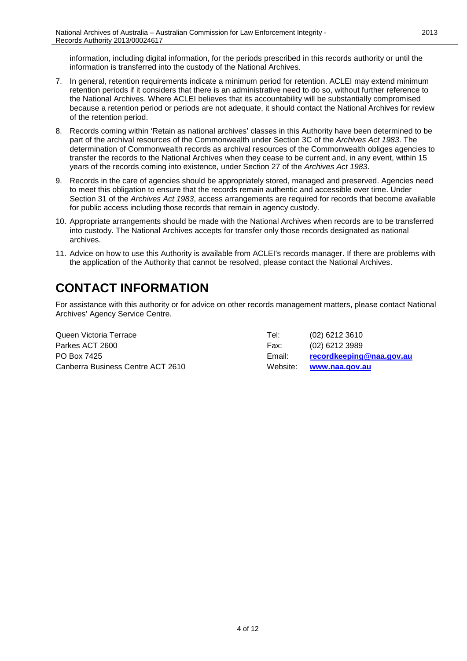information, including digital information, for the periods prescribed in this records authority or until the information is transferred into the custody of the National Archives.

- 7. In general, retention requirements indicate a minimum period for retention. ACLEI may extend minimum retention periods if it considers that there is an administrative need to do so, without further reference to the National Archives. Where ACLEI believes that its accountability will be substantially compromised because a retention period or periods are not adequate, it should contact the National Archives for review of the retention period.
- 8. Records coming within 'Retain as national archives' classes in this Authority have been determined to be part of the archival resources of the Commonwealth under Section 3C of the *Archives Act 1983*. The determination of Commonwealth records as archival resources of the Commonwealth obliges agencies to transfer the records to the National Archives when they cease to be current and, in any event, within 15 years of the records coming into existence, under Section 27 of the *Archives Act 1983*.
- 9. Records in the care of agencies should be appropriately stored, managed and preserved. Agencies need to meet this obligation to ensure that the records remain authentic and accessible over time. Under Section 31 of the *Archives Act 1983*, access arrangements are required for records that become available for public access including those records that remain in agency custody.
- 10. Appropriate arrangements should be made with the National Archives when records are to be transferred into custody. The National Archives accepts for transfer only those records designated as national archives.
- 11. Advice on how to use this Authority is available from ACLEI's records manager. If there are problems with the application of the Authority that cannot be resolved, please contact the National Archives.

### <span id="page-3-0"></span>**CONTACT INFORMATION**

For assistance with this authority or for advice on other records management matters, please contact National Archives' Agency Service Centre.

Queen Victoria Terrace Tel: (02) 6212 3610 Parkes ACT 2600 Farkes ACT 2600 Fax: (02) 6212 3989 PO Box 7425 Email: **[recordkeeping@naa.gov.au](mailto:recordkeeping@naa.gov.au)** Canberra Business Centre ACT 2610 Website: **[www.naa.gov.au](http://www.naa.gov.au/)**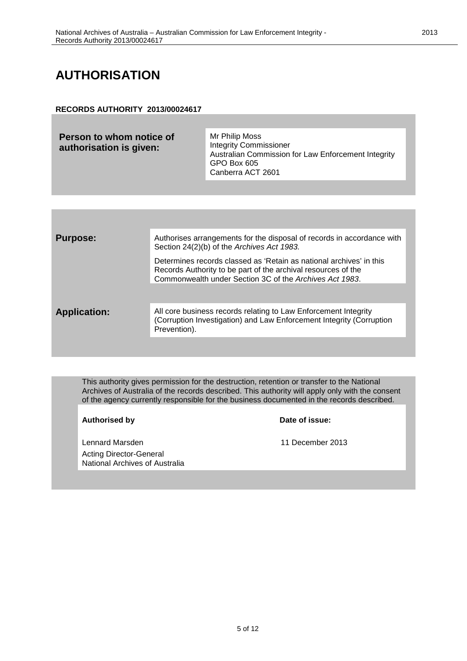#### <span id="page-4-0"></span>**AUTHORISATION**

#### **RECORDS AUTHORITY 2013/00024617**

| Person to whom notice of<br>authorisation is given: | Mr Philip Moss<br><b>Integrity Commissioner</b><br>Australian Commission for Law Enforcement Integrity<br>GPO Box 605<br>Canberra ACT 2601 |
|-----------------------------------------------------|--------------------------------------------------------------------------------------------------------------------------------------------|
|-----------------------------------------------------|--------------------------------------------------------------------------------------------------------------------------------------------|

| <b>Purpose:</b>     | Authorises arrangements for the disposal of records in accordance with<br>Section 24(2)(b) of the Archives Act 1983.                                                                            |
|---------------------|-------------------------------------------------------------------------------------------------------------------------------------------------------------------------------------------------|
|                     | Determines records classed as 'Retain as national archives' in this<br>Records Authority to be part of the archival resources of the<br>Commonwealth under Section 3C of the Archives Act 1983. |
| <b>Application:</b> | All core business records relating to Law Enforcement Integrity<br>(Corruption Investigation) and Law Enforcement Integrity (Corruption<br>Prevention).                                         |

This authority gives permission for the destruction, retention or transfer to the National Archives of Australia of the records described. This authority will apply only with the consent of the agency currently responsible for the business documented in the records described.

**Authorised by Date of issue:**

Lennard Marsden 11 December 2013 Acting Director-General National Archives of Australia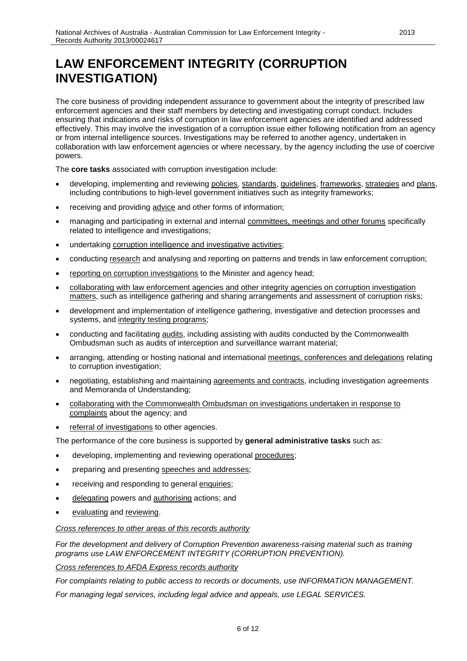<span id="page-5-0"></span>The core business of providing independent assurance to government about the integrity of prescribed law enforcement agencies and their staff members by detecting and investigating corrupt conduct. Includes ensuring that indications and risks of corruption in law enforcement agencies are identified and addressed effectively. This may involve the investigation of a corruption issue either following notification from an agency or from internal intelligence sources. Investigations may be referred to another agency, undertaken in collaboration with law enforcement agencies or where necessary, by the agency including the use of coercive powers.

The **core tasks** associated with corruption investigation include:

- developing, implementing and reviewing policies, standards, guidelines, frameworks, strategies and plans, including contributions to high-level government initiatives such as integrity frameworks;
- receiving and providing advice and other forms of information;
- managing and participating in external and internal committees, meetings and other forums specifically related to intelligence and investigations;
- undertaking corruption intelligence and investigative activities;
- conducting research and analysing and reporting on patterns and trends in law enforcement corruption;
- reporting on corruption investigations to the Minister and agency head;
- collaborating with law enforcement agencies and other integrity agencies on corruption investigation matters, such as intelligence gathering and sharing arrangements and assessment of corruption risks;
- development and implementation of intelligence gathering, investigative and detection processes and systems, and integrity testing programs;
- conducting and facilitating audits, including assisting with audits conducted by the Commonwealth Ombudsman such as audits of interception and surveillance warrant material;
- arranging, attending or hosting national and international meetings, conferences and delegations relating to corruption investigation;
- negotiating, establishing and maintaining agreements and contracts, including investigation agreements and Memoranda of Understanding;
- collaborating with the Commonwealth Ombudsman on investigations undertaken in response to complaints about the agency; and
- referral of investigations to other agencies.

The performance of the core business is supported by **general administrative tasks** such as:

- developing, implementing and reviewing operational procedures;
- preparing and presenting speeches and addresses;
- receiving and responding to general enquiries;
- delegating powers and authorising actions; and
- evaluating and reviewing.

#### *Cross references to other areas of this records authority*

*For the development and delivery of Corruption Prevention awareness-raising material such as training programs use LAW ENFORCEMENT INTEGRITY (CORRUPTION PREVENTION).* 

*Cross references to AFDA Express records authority*

*For complaints relating to public access to records or documents, use INFORMATION MANAGEMENT. For managing legal services, including legal advice and appeals, use LEGAL SERVICES.*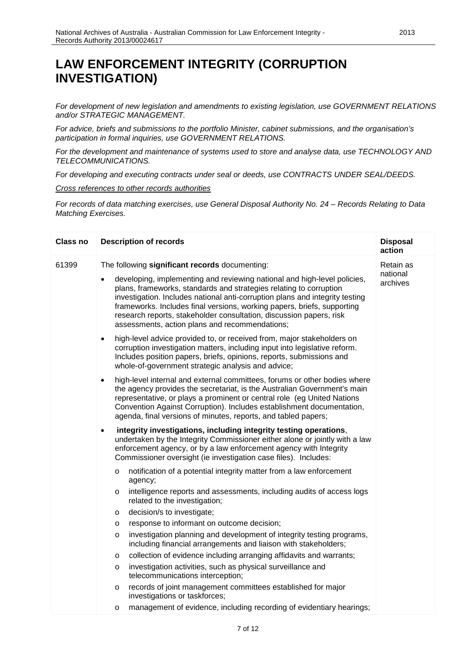*For development of new legislation and amendments to existing legislation, use GOVERNMENT RELATIONS and/or STRATEGIC MANAGEMENT.*

*For advice, briefs and submissions to the portfolio Minister, cabinet submissions, and the organisation's participation in formal inquiries, use GOVERNMENT RELATIONS.*

*For the development and maintenance of systems used to store and analyse data, use TECHNOLOGY AND TELECOMMUNICATIONS.*

*For developing and executing contracts under seal or deeds, use CONTRACTS UNDER SEAL/DEEDS.*

*Cross references to other records authorities*

*For records of data matching exercises, use General Disposal Authority No. 24 – Records Relating to Data Matching Exercises.*

| <b>Class no</b> |           | <b>Description of records</b>                                                                                                                                                                                                                                                                                                                                                                                                      | <b>Disposal</b><br>action |
|-----------------|-----------|------------------------------------------------------------------------------------------------------------------------------------------------------------------------------------------------------------------------------------------------------------------------------------------------------------------------------------------------------------------------------------------------------------------------------------|---------------------------|
| 61399           |           | The following significant records documenting:                                                                                                                                                                                                                                                                                                                                                                                     | Retain as                 |
|                 |           | developing, implementing and reviewing national and high-level policies,<br>plans, frameworks, standards and strategies relating to corruption<br>investigation. Includes national anti-corruption plans and integrity testing<br>frameworks. Includes final versions, working papers, briefs, supporting<br>research reports, stakeholder consultation, discussion papers, risk<br>assessments, action plans and recommendations; | national<br>archives      |
|                 | $\bullet$ | high-level advice provided to, or received from, major stakeholders on<br>corruption investigation matters, including input into legislative reform.<br>Includes position papers, briefs, opinions, reports, submissions and<br>whole-of-government strategic analysis and advice;                                                                                                                                                 |                           |
|                 | $\bullet$ | high-level internal and external committees, forums or other bodies where<br>the agency provides the secretariat, is the Australian Government's main<br>representative, or plays a prominent or central role (eg United Nations<br>Convention Against Corruption). Includes establishment documentation,<br>agenda, final versions of minutes, reports, and tabled papers;                                                        |                           |
|                 | $\bullet$ | integrity investigations, including integrity testing operations,<br>undertaken by the Integrity Commissioner either alone or jointly with a law<br>enforcement agency, or by a law enforcement agency with Integrity<br>Commissioner oversight (ie investigation case files). Includes:                                                                                                                                           |                           |
|                 | $\circ$   | notification of a potential integrity matter from a law enforcement<br>agency;                                                                                                                                                                                                                                                                                                                                                     |                           |
|                 | $\circ$   | intelligence reports and assessments, including audits of access logs<br>related to the investigation;                                                                                                                                                                                                                                                                                                                             |                           |
|                 | $\circ$   | decision/s to investigate;                                                                                                                                                                                                                                                                                                                                                                                                         |                           |
|                 | $\circ$   | response to informant on outcome decision;                                                                                                                                                                                                                                                                                                                                                                                         |                           |
|                 | $\circ$   | investigation planning and development of integrity testing programs,<br>including financial arrangements and liaison with stakeholders;                                                                                                                                                                                                                                                                                           |                           |
|                 | O         | collection of evidence including arranging affidavits and warrants;                                                                                                                                                                                                                                                                                                                                                                |                           |
|                 | $\circ$   | investigation activities, such as physical surveillance and<br>telecommunications interception;                                                                                                                                                                                                                                                                                                                                    |                           |
|                 | $\circ$   | records of joint management committees established for major<br>investigations or taskforces;                                                                                                                                                                                                                                                                                                                                      |                           |
|                 | $\circ$   | management of evidence, including recording of evidentiary hearings;                                                                                                                                                                                                                                                                                                                                                               |                           |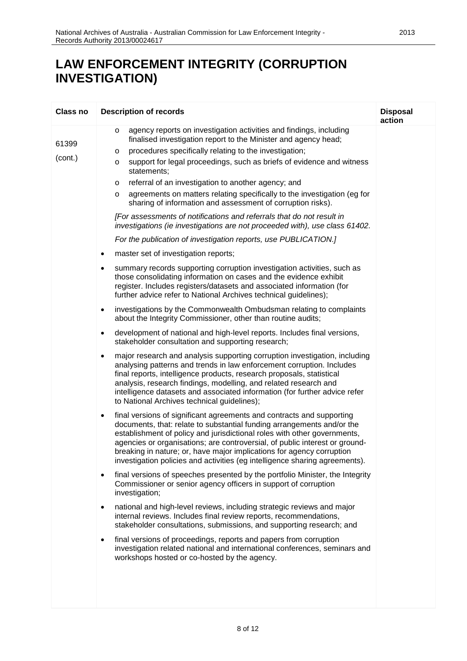|                              | <b>Description of records</b>                                                                                                                                                                                                                                                                                                                                                                                                                                                                                                                                                                                                                                                                                                                                                                                                                                                                                                                                                                                                                                                                                                                                                                                                                                                                                                                                                                                                                                                                                                                                                                                                                                                                                                                                                                                                                                                                                                                                                                                                                                                                                                                                                                                                                                                                                                                                                                                                                                                                                                                                                                                                                                                                                                                                                                                            | <b>Disposal</b><br>action |
|------------------------------|--------------------------------------------------------------------------------------------------------------------------------------------------------------------------------------------------------------------------------------------------------------------------------------------------------------------------------------------------------------------------------------------------------------------------------------------------------------------------------------------------------------------------------------------------------------------------------------------------------------------------------------------------------------------------------------------------------------------------------------------------------------------------------------------------------------------------------------------------------------------------------------------------------------------------------------------------------------------------------------------------------------------------------------------------------------------------------------------------------------------------------------------------------------------------------------------------------------------------------------------------------------------------------------------------------------------------------------------------------------------------------------------------------------------------------------------------------------------------------------------------------------------------------------------------------------------------------------------------------------------------------------------------------------------------------------------------------------------------------------------------------------------------------------------------------------------------------------------------------------------------------------------------------------------------------------------------------------------------------------------------------------------------------------------------------------------------------------------------------------------------------------------------------------------------------------------------------------------------------------------------------------------------------------------------------------------------------------------------------------------------------------------------------------------------------------------------------------------------------------------------------------------------------------------------------------------------------------------------------------------------------------------------------------------------------------------------------------------------------------------------------------------------------------------------------------------------|---------------------------|
| Class no<br>61399<br>(cont.) | agency reports on investigation activities and findings, including<br>O<br>finalised investigation report to the Minister and agency head;<br>procedures specifically relating to the investigation;<br>O<br>support for legal proceedings, such as briefs of evidence and witness<br>O<br>statements;<br>referral of an investigation to another agency; and<br>O<br>agreements on matters relating specifically to the investigation (eg for<br>O<br>sharing of information and assessment of corruption risks).<br>[For assessments of notifications and referrals that do not result in<br>investigations (ie investigations are not proceeded with), use class 61402.<br>For the publication of investigation reports, use PUBLICATION.]<br>master set of investigation reports;<br>$\bullet$<br>summary records supporting corruption investigation activities, such as<br>٠<br>those consolidating information on cases and the evidence exhibit<br>register. Includes registers/datasets and associated information (for<br>further advice refer to National Archives technical guidelines);<br>investigations by the Commonwealth Ombudsman relating to complaints<br>٠<br>about the Integrity Commissioner, other than routine audits;<br>development of national and high-level reports. Includes final versions,<br>٠<br>stakeholder consultation and supporting research;<br>major research and analysis supporting corruption investigation, including<br>٠<br>analysing patterns and trends in law enforcement corruption. Includes<br>final reports, intelligence products, research proposals, statistical<br>analysis, research findings, modelling, and related research and<br>intelligence datasets and associated information (for further advice refer<br>to National Archives technical guidelines);<br>final versions of significant agreements and contracts and supporting<br>$\bullet$<br>documents, that: relate to substantial funding arrangements and/or the<br>establishment of policy and jurisdictional roles with other governments,<br>agencies or organisations; are controversial, of public interest or ground-<br>breaking in nature; or, have major implications for agency corruption<br>investigation policies and activities (eg intelligence sharing agreements).<br>final versions of speeches presented by the portfolio Minister, the Integrity<br>$\bullet$<br>Commissioner or senior agency officers in support of corruption<br>investigation;<br>national and high-level reviews, including strategic reviews and major<br>$\bullet$<br>internal reviews. Includes final review reports, recommendations,<br>stakeholder consultations, submissions, and supporting research; and<br>final versions of proceedings, reports and papers from corruption<br>$\bullet$ |                           |
|                              | investigation related national and international conferences, seminars and<br>workshops hosted or co-hosted by the agency.                                                                                                                                                                                                                                                                                                                                                                                                                                                                                                                                                                                                                                                                                                                                                                                                                                                                                                                                                                                                                                                                                                                                                                                                                                                                                                                                                                                                                                                                                                                                                                                                                                                                                                                                                                                                                                                                                                                                                                                                                                                                                                                                                                                                                                                                                                                                                                                                                                                                                                                                                                                                                                                                                               |                           |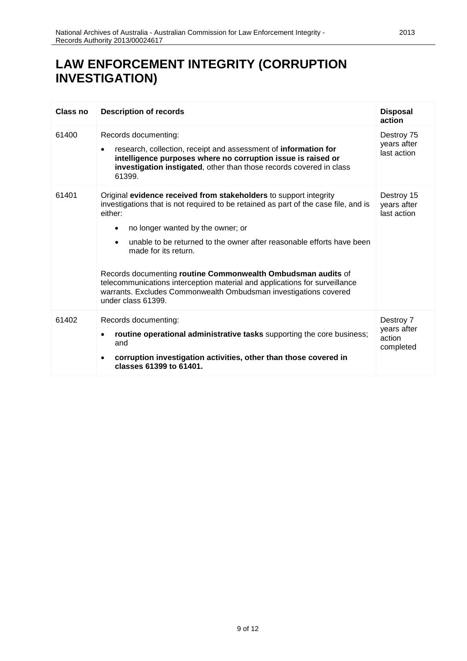| Class no | <b>Description of records</b>                                                                                                                                                                                                                                                                                                                                                                                                                                                                                                                                       | <b>Disposal</b><br>action                       |
|----------|---------------------------------------------------------------------------------------------------------------------------------------------------------------------------------------------------------------------------------------------------------------------------------------------------------------------------------------------------------------------------------------------------------------------------------------------------------------------------------------------------------------------------------------------------------------------|-------------------------------------------------|
| 61400    | Records documenting:<br>research, collection, receipt and assessment of information for<br>$\bullet$<br>intelligence purposes where no corruption issue is raised or<br>investigation instigated, other than those records covered in class<br>61399.                                                                                                                                                                                                                                                                                                               | Destroy 75<br>years after<br>last action        |
| 61401    | Original evidence received from stakeholders to support integrity<br>investigations that is not required to be retained as part of the case file, and is<br>either:<br>no longer wanted by the owner; or<br>٠<br>unable to be returned to the owner after reasonable efforts have been<br>$\bullet$<br>made for its return.<br>Records documenting routine Commonwealth Ombudsman audits of<br>telecommunications interception material and applications for surveillance<br>warrants. Excludes Commonwealth Ombudsman investigations covered<br>under class 61399. | Destroy 15<br>years after<br>last action        |
| 61402    | Records documenting:<br>routine operational administrative tasks supporting the core business;<br>and<br>corruption investigation activities, other than those covered in<br>classes 61399 to 61401.                                                                                                                                                                                                                                                                                                                                                                | Destroy 7<br>years after<br>action<br>completed |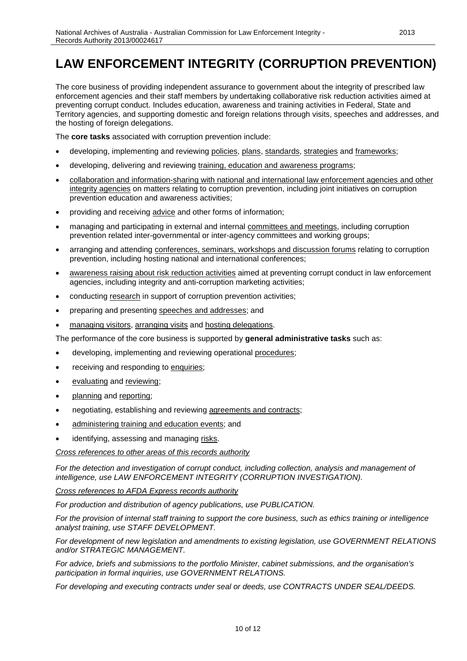### <span id="page-9-0"></span>**LAW ENFORCEMENT INTEGRITY (CORRUPTION PREVENTION)**

The core business of providing independent assurance to government about the integrity of prescribed law enforcement agencies and their staff members by undertaking collaborative risk reduction activities aimed at preventing corrupt conduct. Includes education, awareness and training activities in Federal, State and Territory agencies, and supporting domestic and foreign relations through visits, speeches and addresses, and the hosting of foreign delegations.

The **core tasks** associated with corruption prevention include:

- developing, implementing and reviewing policies, plans, standards, strategies and frameworks;
- developing, delivering and reviewing training, education and awareness programs;
- collaboration and information-sharing with national and international law enforcement agencies and other integrity agencies on matters relating to corruption prevention, including joint initiatives on corruption prevention education and awareness activities;
- providing and receiving advice and other forms of information;
- managing and participating in external and internal committees and meetings, including corruption prevention related inter-governmental or inter-agency committees and working groups;
- arranging and attending conferences, seminars, workshops and discussion forums relating to corruption prevention, including hosting national and international conferences;
- awareness raising about risk reduction activities aimed at preventing corrupt conduct in law enforcement agencies, including integrity and anti-corruption marketing activities;
- conducting research in support of corruption prevention activities;
- preparing and presenting speeches and addresses; and
- managing visitors, arranging visits and hosting delegations.

The performance of the core business is supported by **general administrative tasks** such as:

- developing, implementing and reviewing operational procedures;
- receiving and responding to enquiries;
- evaluating and reviewing;
- planning and reporting;
- negotiating, establishing and reviewing agreements and contracts;
- administering training and education events; and
- identifying, assessing and managing risks.

*Cross references to other areas of this records authority*

*For the detection and investigation of corrupt conduct, including collection, analysis and management of intelligence, use LAW ENFORCEMENT INTEGRITY (CORRUPTION INVESTIGATION).*

*Cross references to AFDA Express records authority*

*For production and distribution of agency publications, use PUBLICATION.*

*For the provision of internal staff training to support the core business, such as ethics training or intelligence analyst training, use STAFF DEVELOPMENT.* 

*For development of new legislation and amendments to existing legislation, use GOVERNMENT RELATIONS and/or STRATEGIC MANAGEMENT.*

*For advice, briefs and submissions to the portfolio Minister, cabinet submissions, and the organisation's participation in formal inquiries, use GOVERNMENT RELATIONS.*

*For developing and executing contracts under seal or deeds, use CONTRACTS UNDER SEAL/DEEDS.*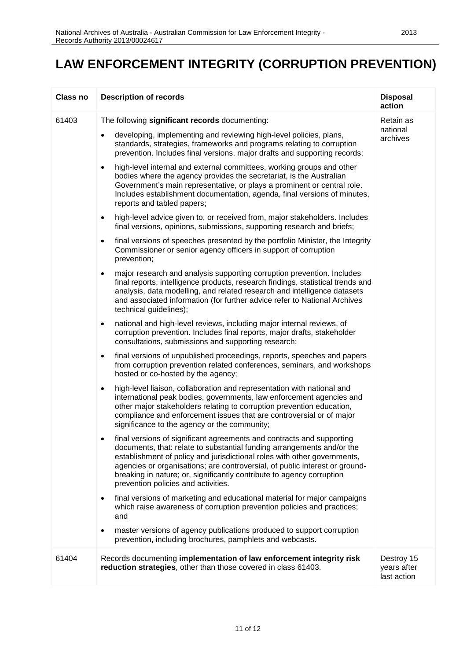#### **LAW ENFORCEMENT INTEGRITY (CORRUPTION PREVENTION)**

| Class no | <b>Description of records</b>                                                                                                                                                                                                                                                                                                                                                                                              | <b>Disposal</b><br>action                |
|----------|----------------------------------------------------------------------------------------------------------------------------------------------------------------------------------------------------------------------------------------------------------------------------------------------------------------------------------------------------------------------------------------------------------------------------|------------------------------------------|
| 61403    | The following significant records documenting:<br>developing, implementing and reviewing high-level policies, plans,                                                                                                                                                                                                                                                                                                       | Retain as<br>national<br>archives        |
|          | standards, strategies, frameworks and programs relating to corruption<br>prevention. Includes final versions, major drafts and supporting records;                                                                                                                                                                                                                                                                         |                                          |
|          | high-level internal and external committees, working groups and other<br>$\bullet$<br>bodies where the agency provides the secretariat, is the Australian<br>Government's main representative, or plays a prominent or central role.<br>Includes establishment documentation, agenda, final versions of minutes,<br>reports and tabled papers;                                                                             |                                          |
|          | high-level advice given to, or received from, major stakeholders. Includes<br>$\bullet$<br>final versions, opinions, submissions, supporting research and briefs;                                                                                                                                                                                                                                                          |                                          |
|          | final versions of speeches presented by the portfolio Minister, the Integrity<br>$\bullet$<br>Commissioner or senior agency officers in support of corruption<br>prevention;                                                                                                                                                                                                                                               |                                          |
|          | major research and analysis supporting corruption prevention. Includes<br>$\bullet$<br>final reports, intelligence products, research findings, statistical trends and<br>analysis, data modelling, and related research and intelligence datasets<br>and associated information (for further advice refer to National Archives<br>technical guidelines);                                                                  |                                          |
|          | national and high-level reviews, including major internal reviews, of<br>$\bullet$<br>corruption prevention. Includes final reports, major drafts, stakeholder<br>consultations, submissions and supporting research;                                                                                                                                                                                                      |                                          |
|          | final versions of unpublished proceedings, reports, speeches and papers<br>$\bullet$<br>from corruption prevention related conferences, seminars, and workshops<br>hosted or co-hosted by the agency;                                                                                                                                                                                                                      |                                          |
|          | high-level liaison, collaboration and representation with national and<br>$\bullet$<br>international peak bodies, governments, law enforcement agencies and<br>other major stakeholders relating to corruption prevention education,<br>compliance and enforcement issues that are controversial or of major<br>significance to the agency or the community;                                                               |                                          |
|          | final versions of significant agreements and contracts and supporting<br>documents, that: relate to substantial funding arrangements and/or the<br>establishment of policy and jurisdictional roles with other governments,<br>agencies or organisations; are controversial, of public interest or ground-<br>breaking in nature; or, significantly contribute to agency corruption<br>prevention policies and activities. |                                          |
|          | final versions of marketing and educational material for major campaigns<br>$\bullet$<br>which raise awareness of corruption prevention policies and practices;<br>and                                                                                                                                                                                                                                                     |                                          |
|          | master versions of agency publications produced to support corruption<br>prevention, including brochures, pamphlets and webcasts.                                                                                                                                                                                                                                                                                          |                                          |
| 61404    | Records documenting implementation of law enforcement integrity risk<br>reduction strategies, other than those covered in class 61403.                                                                                                                                                                                                                                                                                     | Destroy 15<br>years after<br>last action |